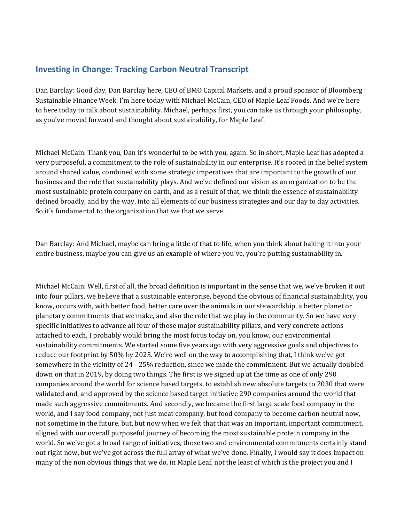## **Investing in Change: Tracking Carbon Neutral Transcript**

Dan Barclay: Good day, Dan Barclay here, CEO of BMO Capital Markets, and a proud sponsor of Bloomberg Sustainable Finance Week. I'm here today with Michael McCain, CEO of Maple Leaf Foods. And we're here to here today to talk about sustainability. Michael, perhaps first, you can take us through your philosophy, as you've moved forward and thought about sustainability, for Maple Leaf.

Michael McCain: Thank you, Dan it's wonderful to be with you, again. So in short, Maple Leaf has adopted a very purposeful, a commitment to the role of sustainability in our enterprise. It's rooted in the belief system around shared value, combined with some strategic imperatives that are important to the growth of our business and the role that sustainability plays. And we've defined our vision as an organization to be the most sustainable protein company on earth, and as a result of that, we think the essence of sustainability defined broadly, and by the way, into all elements of our business strategies and our day to day activities. So it's fundamental to the organization that we that we serve.

Dan Barclay: And Michael, maybe can bring a little of that to life, when you think about baking it into your entire business, maybe you can give us an example of where you've, you're putting sustainability in.

Michael McCain: Well, first of all, the broad definition is important in the sense that we, we've broken it out into four pillars, we believe that a sustainable enterprise, beyond the obvious of financial sustainability, you know, occurs with, with better food, better care over the animals in our stewardship, a better planet or planetary commitments that we make, and also the role that we play in the community. So we have very specific initiatives to advance all four of those major sustainability pillars, and very concrete actions attached to each, I probably would bring the most focus today on, you know, our environmental sustainability commitments. We started some five years ago with very aggressive goals and objectives to reduce our footprint by 50% by 2025. We're well on the way to accomplishing that, I think we've got somewhere in the vicinity of 24 - 25% reduction, since we made the commitment. But we actually doubled down on that in 2019, by doing two things. The first is we signed up at the time as one of only 290 companies around the world for science based targets, to establish new absolute targets to 2030 that were validated and, and approved by the science based target initiative 290 companies around the world that made such aggressive commitments. And secondly, we became the first large scale food company in the world, and I say food company, not just meat company, but food company to become carbon neutral now, not sometime in the future, but, but now when we felt that that was an important, important commitment, aligned with our overall purposeful journey of becoming the most sustainable protein company in the world. So we've got a broad range of initiatives, those two and environmental commitments certainly stand out right now, but we've got across the full array of what we've done. Finally, I would say it does impact on many of the non obvious things that we do, in Maple Leaf, not the least of which is the project you and I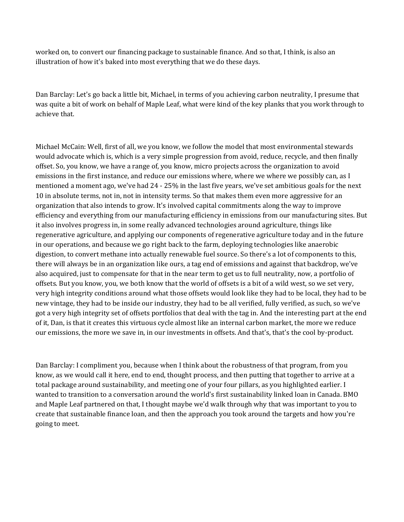worked on, to convert our financing package to sustainable finance. And so that, I think, is also an illustration of how it's baked into most everything that we do these days.

 was quite a bit of work on behalf of Maple Leaf, what were kind of the key planks that you work through to Dan Barclay: Let's go back a little bit, Michael, in terms of you achieving carbon neutrality, I presume that achieve that.

 also acquired, just to compensate for that in the near term to get us to full neutrality, now, a portfolio of Michael McCain: Well, first of all, we you know, we follow the model that most environmental stewards would advocate which is, which is a very simple progression from avoid, reduce, recycle, and then finally offset. So, you know, we have a range of, you know, micro projects across the organization to avoid emissions in the first instance, and reduce our emissions where, where we where we possibly can, as I mentioned a moment ago, we've had 24 - 25% in the last five years, we've set ambitious goals for the next 10 in absolute terms, not in, not in intensity terms. So that makes them even more aggressive for an organization that also intends to grow. It's involved capital commitments along the way to improve efficiency and everything from our manufacturing efficiency in emissions from our manufacturing sites. But it also involves progress in, in some really advanced technologies around agriculture, things like regenerative agriculture, and applying our components of regenerative agriculture today and in the future in our operations, and because we go right back to the farm, deploying technologies like anaerobic digestion, to convert methane into actually renewable fuel source. So there's a lot of components to this, there will always be in an organization like ours, a tag end of emissions and against that backdrop, we've offsets. But you know, you, we both know that the world of offsets is a bit of a wild west, so we set very, very high integrity conditions around what those offsets would look like they had to be local, they had to be new vintage, they had to be inside our industry, they had to be all verified, fully verified, as such, so we've got a very high integrity set of offsets portfolios that deal with the tag in. And the interesting part at the end of it, Dan, is that it creates this virtuous cycle almost like an internal carbon market, the more we reduce our emissions, the more we save in, in our investments in offsets. And that's, that's the cool by-product.

Dan Barclay: I compliment you, because when I think about the robustness of that program, from you know, as we would call it here, end to end, thought process, and then putting that together to arrive at a total package around sustainability, and meeting one of your four pillars, as you highlighted earlier. I wanted to transition to a conversation around the world's first sustainability linked loan in Canada. BMO and Maple Leaf partnered on that, I thought maybe we'd walk through why that was important to you to create that sustainable finance loan, and then the approach you took around the targets and how you're going to meet.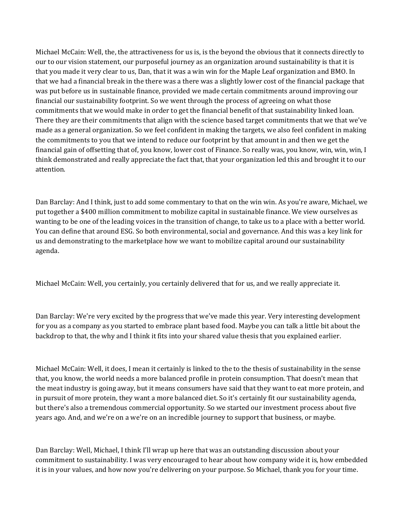made as a general organization. So we feel confident in making the targets, we also feel confident in making Michael McCain: Well, the, the attractiveness for us is, is the beyond the obvious that it connects directly to our to our vision statement, our purposeful journey as an organization around sustainability is that it is that you made it very clear to us, Dan, that it was a win win for the Maple Leaf organization and BMO. In that we had a financial break in the there was a there was a slightly lower cost of the financial package that was put before us in sustainable finance, provided we made certain commitments around improving our financial our sustainability footprint. So we went through the process of agreeing on what those commitments that we would make in order to get the financial benefit of that sustainability linked loan. There they are their commitments that align with the science based target commitments that we that we've the commitments to you that we intend to reduce our footprint by that amount in and then we get the financial gain of offsetting that of, you know, lower cost of Finance. So really was, you know, win, win, win, I think demonstrated and really appreciate the fact that, that your organization led this and brought it to our attention.

Dan Barclay: And I think, just to add some commentary to that on the win win. As you're aware, Michael, we put together a \$400 million commitment to mobilize capital in sustainable finance. We view ourselves as wanting to be one of the leading voices in the transition of change, to take us to a place with a better world. You can define that around ESG. So both environmental, social and governance. And this was a key link for us and demonstrating to the marketplace how we want to mobilize capital around our sustainability agenda.

Michael McCain: Well, you certainly, you certainly delivered that for us, and we really appreciate it.

Dan Barclay: We're very excited by the progress that we've made this year. Very interesting development for you as a company as you started to embrace plant based food. Maybe you can talk a little bit about the backdrop to that, the why and I think it fits into your shared value thesis that you explained earlier.

Michael McCain: Well, it does, I mean it certainly is linked to the to the thesis of sustainability in the sense that, you know, the world needs a more balanced profile in protein consumption. That doesn't mean that the meat industry is going away, but it means consumers have said that they want to eat more protein, and in pursuit of more protein, they want a more balanced diet. So it's certainly fit our sustainability agenda, but there's also a tremendous commercial opportunity. So we started our investment process about five years ago. And, and we're on a we're on an incredible journey to support that business, or maybe.

Dan Barclay: Well, Michael, I think I'll wrap up here that was an outstanding discussion about your commitment to sustainability. I was very encouraged to hear about how company wide it is, how embedded it is in your values, and how now you're delivering on your purpose. So Michael, thank you for your time.